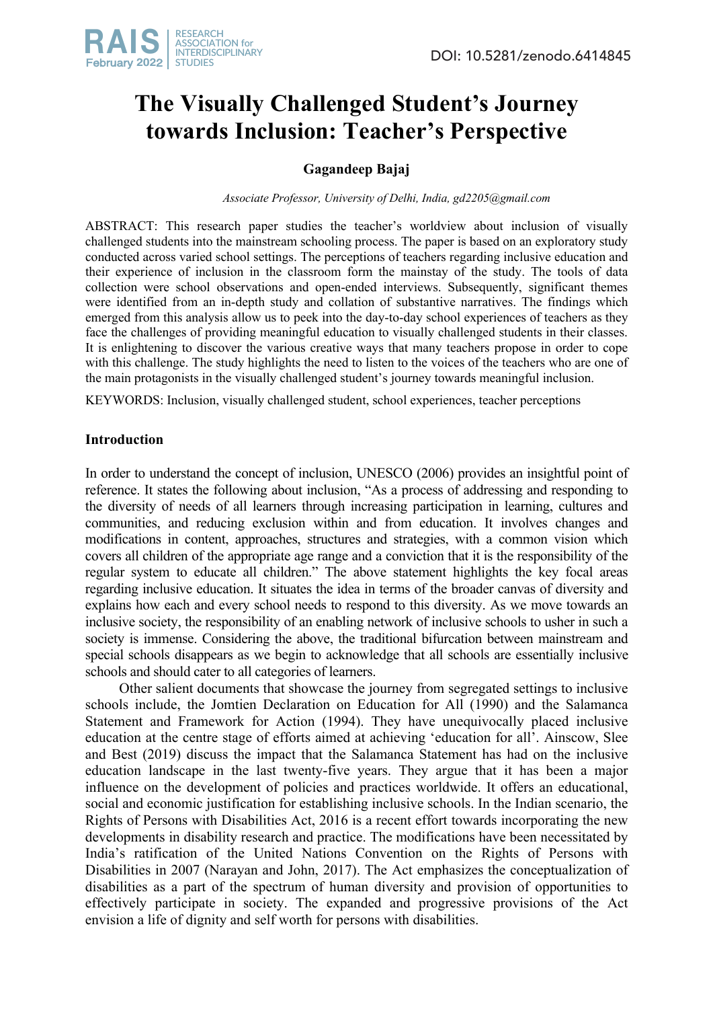# **The Visually Challenged Student's Journey towards Inclusion: Teacher's Perspective**

## **Gagandeep Bajaj**

*Associate Professor, University of Delhi, India, gd2205@gmail.com*

ABSTRACT: This research paper studies the teacher's worldview about inclusion of visually challenged students into the mainstream schooling process. The paper is based on an exploratory study conducted across varied school settings. The perceptions of teachers regarding inclusive education and their experience of inclusion in the classroom form the mainstay of the study. The tools of data collection were school observations and open-ended interviews. Subsequently, significant themes were identified from an in-depth study and collation of substantive narratives. The findings which emerged from this analysis allow us to peek into the day-to-day school experiences of teachers as they face the challenges of providing meaningful education to visually challenged students in their classes. It is enlightening to discover the various creative ways that many teachers propose in order to cope with this challenge. The study highlights the need to listen to the voices of the teachers who are one of the main protagonists in the visually challenged student's journey towards meaningful inclusion.

KEYWORDS: Inclusion, visually challenged student, school experiences, teacher perceptions

### **Introduction**

In order to understand the concept of inclusion, UNESCO (2006) provides an insightful point of reference. It states the following about inclusion, "As a process of addressing and responding to the diversity of needs of all learners through increasing participation in learning, cultures and communities, and reducing exclusion within and from education. It involves changes and modifications in content, approaches, structures and strategies, with a common vision which covers all children of the appropriate age range and a conviction that it is the responsibility of the regular system to educate all children." The above statement highlights the key focal areas regarding inclusive education. It situates the idea in terms of the broader canvas of diversity and explains how each and every school needs to respond to this diversity. As we move towards an inclusive society, the responsibility of an enabling network of inclusive schools to usher in such a society is immense. Considering the above, the traditional bifurcation between mainstream and special schools disappears as we begin to acknowledge that all schools are essentially inclusive schools and should cater to all categories of learners.

Other salient documents that showcase the journey from segregated settings to inclusive schools include, the Jomtien Declaration on Education for All (1990) and the Salamanca Statement and Framework for Action (1994). They have unequivocally placed inclusive education at the centre stage of efforts aimed at achieving 'education for all'. Ainscow, Slee and Best (2019) discuss the impact that the Salamanca Statement has had on the inclusive education landscape in the last twenty-five years. They argue that it has been a major influence on the development of policies and practices worldwide. It offers an educational, social and economic justification for establishing inclusive schools. In the Indian scenario, the Rights of Persons with Disabilities Act, 2016 is a recent effort towards incorporating the new developments in disability research and practice. The modifications have been necessitated by India's ratification of the United Nations Convention on the Rights of Persons with Disabilities in 2007 (Narayan and John, 2017). The Act emphasizes the conceptualization of disabilities as a part of the spectrum of human diversity and provision of opportunities to effectively participate in society. The expanded and progressive provisions of the Act envision a life of dignity and self worth for persons with disabilities.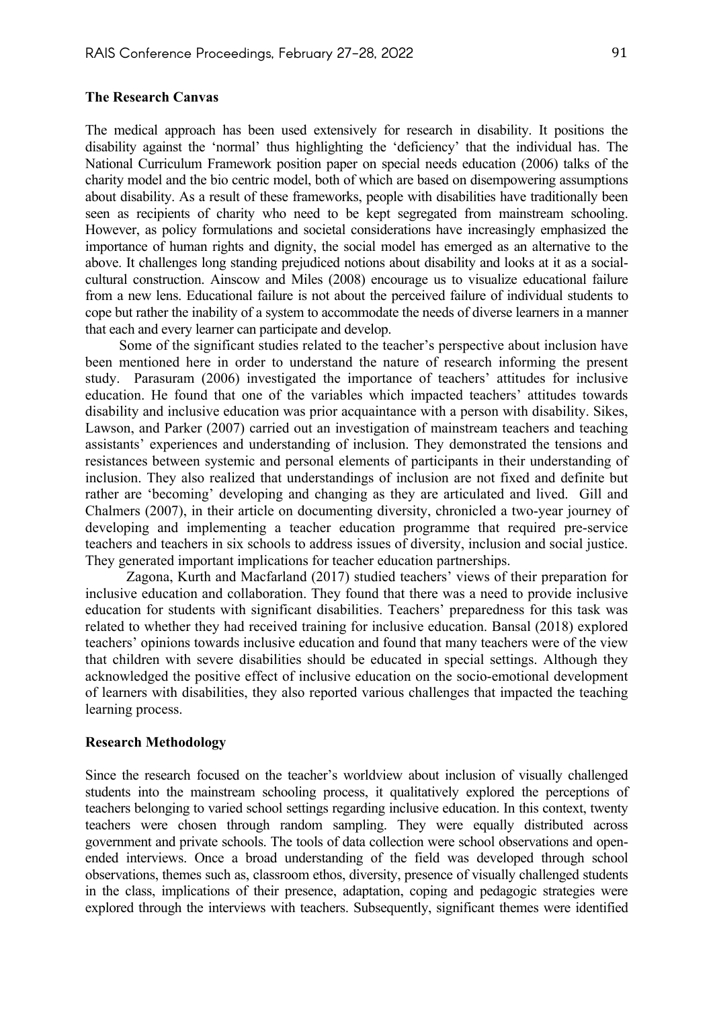#### **The Research Canvas**

The medical approach has been used extensively for research in disability. It positions the disability against the 'normal' thus highlighting the 'deficiency' that the individual has. The National Curriculum Framework position paper on special needs education (2006) talks of the charity model and the bio centric model, both of which are based on disempowering assumptions about disability. As a result of these frameworks, people with disabilities have traditionally been seen as recipients of charity who need to be kept segregated from mainstream schooling. However, as policy formulations and societal considerations have increasingly emphasized the importance of human rights and dignity, the social model has emerged as an alternative to the above. It challenges long standing prejudiced notions about disability and looks at it as a socialcultural construction. Ainscow and Miles (2008) encourage us to visualize educational failure from a new lens. Educational failure is not about the perceived failure of individual students to cope but rather the inability of a system to accommodate the needs of diverse learners in a manner that each and every learner can participate and develop.

Some of the significant studies related to the teacher's perspective about inclusion have been mentioned here in order to understand the nature of research informing the present study. Parasuram (2006) investigated the importance of teachers' attitudes for inclusive education. He found that one of the variables which impacted teachers' attitudes towards disability and inclusive education was prior acquaintance with a person with disability. Sikes, Lawson, and Parker (2007) carried out an investigation of mainstream teachers and teaching assistants' experiences and understanding of inclusion. They demonstrated the tensions and resistances between systemic and personal elements of participants in their understanding of inclusion. They also realized that understandings of inclusion are not fixed and definite but rather are 'becoming' developing and changing as they are articulated and lived. Gill and Chalmers (2007), in their article on documenting diversity, chronicled a two-year journey of developing and implementing a teacher education programme that required pre-service teachers and teachers in six schools to address issues of diversity, inclusion and social justice. They generated important implications for teacher education partnerships.

 Zagona, Kurth and Macfarland (2017) studied teachers' views of their preparation for inclusive education and collaboration. They found that there was a need to provide inclusive education for students with significant disabilities. Teachers' preparedness for this task was related to whether they had received training for inclusive education. Bansal (2018) explored teachers' opinions towards inclusive education and found that many teachers were of the view that children with severe disabilities should be educated in special settings. Although they acknowledged the positive effect of inclusive education on the socio-emotional development of learners with disabilities, they also reported various challenges that impacted the teaching learning process.

#### **Research Methodology**

Since the research focused on the teacher's worldview about inclusion of visually challenged students into the mainstream schooling process, it qualitatively explored the perceptions of teachers belonging to varied school settings regarding inclusive education. In this context, twenty teachers were chosen through random sampling. They were equally distributed across government and private schools. The tools of data collection were school observations and openended interviews. Once a broad understanding of the field was developed through school observations, themes such as, classroom ethos, diversity, presence of visually challenged students in the class, implications of their presence, adaptation, coping and pedagogic strategies were explored through the interviews with teachers. Subsequently, significant themes were identified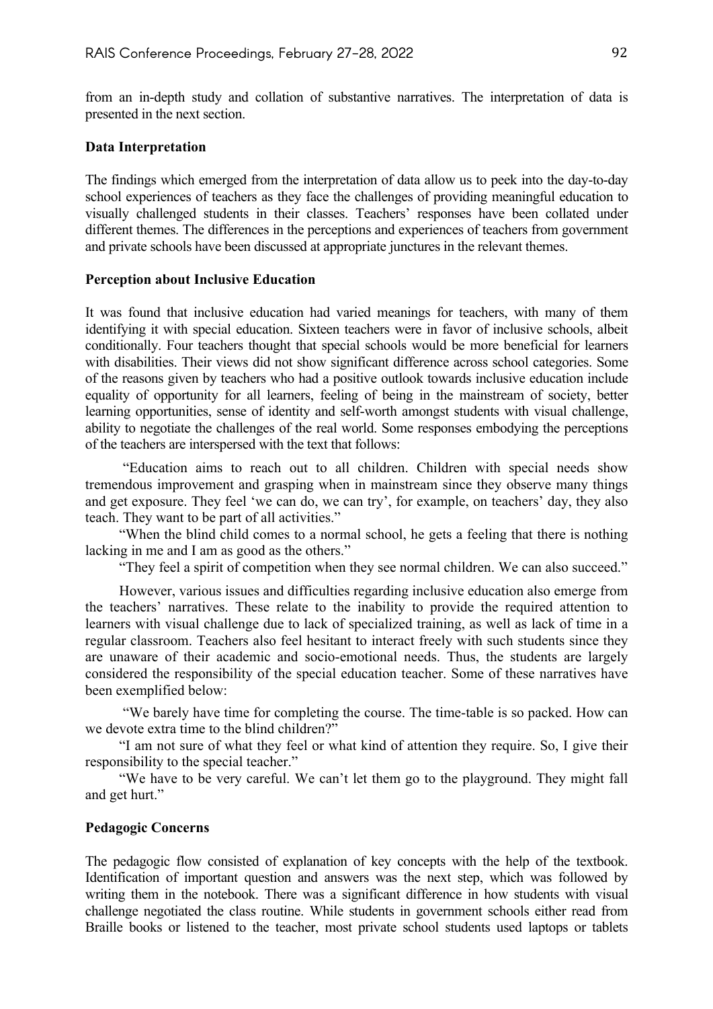from an in-depth study and collation of substantive narratives. The interpretation of data is presented in the next section.

#### **Data Interpretation**

The findings which emerged from the interpretation of data allow us to peek into the day-to-day school experiences of teachers as they face the challenges of providing meaningful education to visually challenged students in their classes. Teachers' responses have been collated under different themes. The differences in the perceptions and experiences of teachers from government and private schools have been discussed at appropriate junctures in the relevant themes.

#### **Perception about Inclusive Education**

It was found that inclusive education had varied meanings for teachers, with many of them identifying it with special education. Sixteen teachers were in favor of inclusive schools, albeit conditionally. Four teachers thought that special schools would be more beneficial for learners with disabilities. Their views did not show significant difference across school categories. Some of the reasons given by teachers who had a positive outlook towards inclusive education include equality of opportunity for all learners, feeling of being in the mainstream of society, better learning opportunities, sense of identity and self-worth amongst students with visual challenge, ability to negotiate the challenges of the real world. Some responses embodying the perceptions of the teachers are interspersed with the text that follows:

"Education aims to reach out to all children. Children with special needs show tremendous improvement and grasping when in mainstream since they observe many things and get exposure. They feel 'we can do, we can try', for example, on teachers' day, they also teach. They want to be part of all activities."

"When the blind child comes to a normal school, he gets a feeling that there is nothing lacking in me and I am as good as the others."

"They feel a spirit of competition when they see normal children. We can also succeed."

However, various issues and difficulties regarding inclusive education also emerge from the teachers' narratives. These relate to the inability to provide the required attention to learners with visual challenge due to lack of specialized training, as well as lack of time in a regular classroom. Teachers also feel hesitant to interact freely with such students since they are unaware of their academic and socio-emotional needs. Thus, the students are largely considered the responsibility of the special education teacher. Some of these narratives have been exemplified below:

"We barely have time for completing the course. The time-table is so packed. How can we devote extra time to the blind children?"

"I am not sure of what they feel or what kind of attention they require. So, I give their responsibility to the special teacher."

"We have to be very careful. We can't let them go to the playground. They might fall and get hurt."

### **Pedagogic Concerns**

The pedagogic flow consisted of explanation of key concepts with the help of the textbook. Identification of important question and answers was the next step, which was followed by writing them in the notebook. There was a significant difference in how students with visual challenge negotiated the class routine. While students in government schools either read from Braille books or listened to the teacher, most private school students used laptops or tablets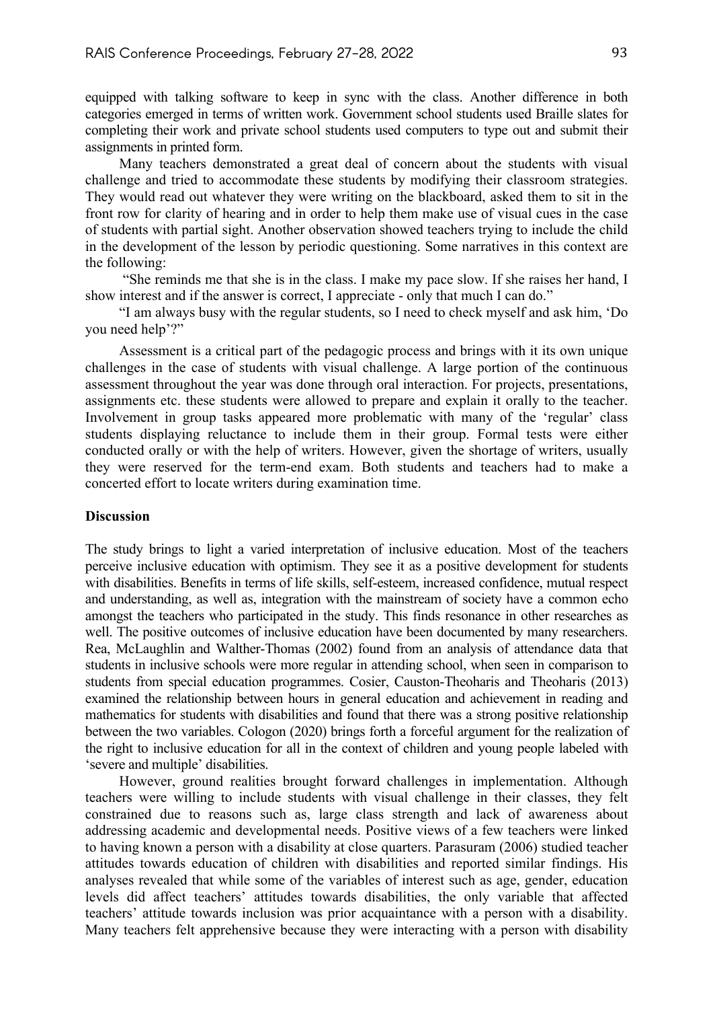equipped with talking software to keep in sync with the class. Another difference in both categories emerged in terms of written work. Government school students used Braille slates for completing their work and private school students used computers to type out and submit their assignments in printed form.

Many teachers demonstrated a great deal of concern about the students with visual challenge and tried to accommodate these students by modifying their classroom strategies. They would read out whatever they were writing on the blackboard, asked them to sit in the front row for clarity of hearing and in order to help them make use of visual cues in the case of students with partial sight. Another observation showed teachers trying to include the child in the development of the lesson by periodic questioning. Some narratives in this context are the following:

"She reminds me that she is in the class. I make my pace slow. If she raises her hand, I show interest and if the answer is correct, I appreciate - only that much I can do."

"I am always busy with the regular students, so I need to check myself and ask him, 'Do you need help'?"

Assessment is a critical part of the pedagogic process and brings with it its own unique challenges in the case of students with visual challenge. A large portion of the continuous assessment throughout the year was done through oral interaction. For projects, presentations, assignments etc. these students were allowed to prepare and explain it orally to the teacher. Involvement in group tasks appeared more problematic with many of the 'regular' class students displaying reluctance to include them in their group. Formal tests were either conducted orally or with the help of writers. However, given the shortage of writers, usually they were reserved for the term-end exam. Both students and teachers had to make a concerted effort to locate writers during examination time.

### **Discussion**

The study brings to light a varied interpretation of inclusive education. Most of the teachers perceive inclusive education with optimism. They see it as a positive development for students with disabilities. Benefits in terms of life skills, self-esteem, increased confidence, mutual respect and understanding, as well as, integration with the mainstream of society have a common echo amongst the teachers who participated in the study. This finds resonance in other researches as well. The positive outcomes of inclusive education have been documented by many researchers. Rea, McLaughlin and Walther-Thomas (2002) found from an analysis of attendance data that students in inclusive schools were more regular in attending school, when seen in comparison to students from special education programmes. Cosier, Causton-Theoharis and Theoharis (2013) examined the relationship between hours in general education and achievement in reading and mathematics for students with disabilities and found that there was a strong positive relationship between the two variables. Cologon (2020) brings forth a forceful argument for the realization of the right to inclusive education for all in the context of children and young people labeled with 'severe and multiple' disabilities.

However, ground realities brought forward challenges in implementation. Although teachers were willing to include students with visual challenge in their classes, they felt constrained due to reasons such as, large class strength and lack of awareness about addressing academic and developmental needs. Positive views of a few teachers were linked to having known a person with a disability at close quarters. Parasuram (2006) studied teacher attitudes towards education of children with disabilities and reported similar findings. His analyses revealed that while some of the variables of interest such as age, gender, education levels did affect teachers' attitudes towards disabilities, the only variable that affected teachers' attitude towards inclusion was prior acquaintance with a person with a disability. Many teachers felt apprehensive because they were interacting with a person with disability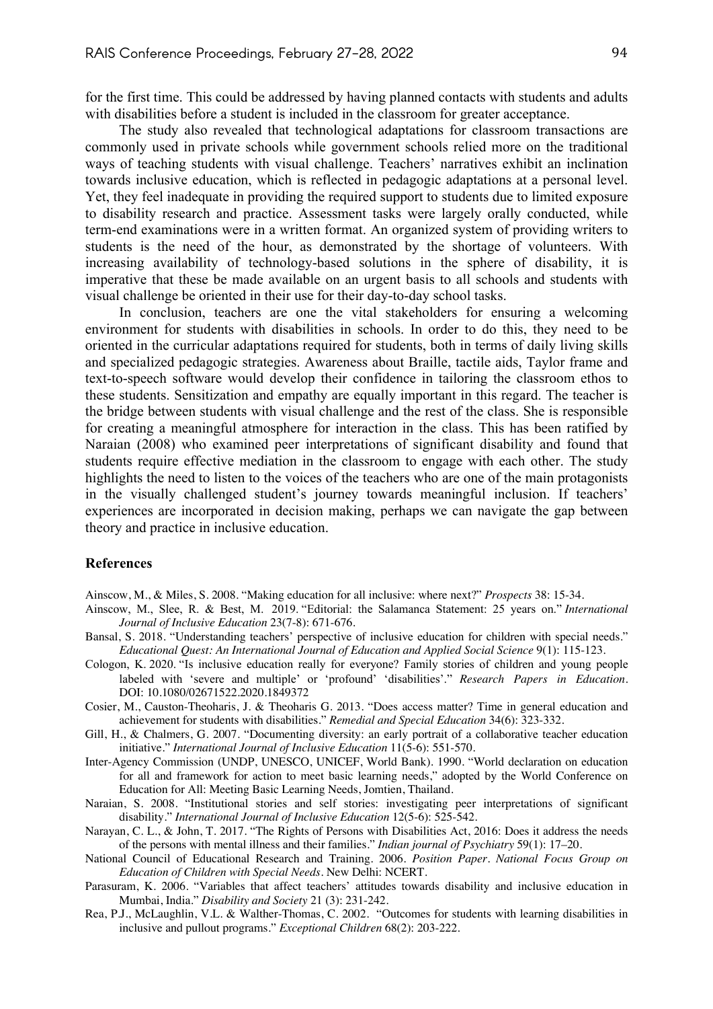for the first time. This could be addressed by having planned contacts with students and adults with disabilities before a student is included in the classroom for greater acceptance.

The study also revealed that technological adaptations for classroom transactions are commonly used in private schools while government schools relied more on the traditional ways of teaching students with visual challenge. Teachers' narratives exhibit an inclination towards inclusive education, which is reflected in pedagogic adaptations at a personal level. Yet, they feel inadequate in providing the required support to students due to limited exposure to disability research and practice. Assessment tasks were largely orally conducted, while term-end examinations were in a written format. An organized system of providing writers to students is the need of the hour, as demonstrated by the shortage of volunteers. With increasing availability of technology-based solutions in the sphere of disability, it is imperative that these be made available on an urgent basis to all schools and students with visual challenge be oriented in their use for their day-to-day school tasks.

In conclusion, teachers are one the vital stakeholders for ensuring a welcoming environment for students with disabilities in schools. In order to do this, they need to be oriented in the curricular adaptations required for students, both in terms of daily living skills and specialized pedagogic strategies. Awareness about Braille, tactile aids, Taylor frame and text-to-speech software would develop their confidence in tailoring the classroom ethos to these students. Sensitization and empathy are equally important in this regard. The teacher is the bridge between students with visual challenge and the rest of the class. She is responsible for creating a meaningful atmosphere for interaction in the class. This has been ratified by Naraian (2008) who examined peer interpretations of significant disability and found that students require effective mediation in the classroom to engage with each other. The study highlights the need to listen to the voices of the teachers who are one of the main protagonists in the visually challenged student's journey towards meaningful inclusion. If teachers' experiences are incorporated in decision making, perhaps we can navigate the gap between theory and practice in inclusive education.

#### **References**

Ainscow, M., & Miles, S. 2008. "Making education for all inclusive: where next?" *Prospects* 38: 15-34.

- Ainscow, M., Slee, R. & Best, M. 2019. "Editorial: the Salamanca Statement: 25 years on." *International Journal of Inclusive Education* 23(7-8): 671-676.
- Bansal, S. 2018. "Understanding teachers' perspective of inclusive education for children with special needs." *Educational Quest: An International Journal of Education and Applied Social Science* 9(1): 115-123.
- Cologon, K. 2020. "Is inclusive education really for everyone? Family stories of children and young people labeled with 'severe and multiple' or 'profound' 'disabilities'." *Research Papers in Education*. DOI: 10.1080/02671522.2020.1849372
- Cosier, M., Causton-Theoharis, J. & Theoharis G. 2013. "Does access matter? Time in general education and achievement for students with disabilities." *Remedial and Special Education* 34(6): 323-332.
- Gill, H., & Chalmers, G. 2007. "Documenting diversity: an early portrait of a collaborative teacher education initiative." *International Journal of Inclusive Education* 11(5-6): 551-570.
- Inter-Agency Commission (UNDP, UNESCO, UNICEF, World Bank). 1990. "World declaration on education for all and framework for action to meet basic learning needs," adopted by the World Conference on Education for All: Meeting Basic Learning Needs, Jomtien, Thailand.
- Naraian, S. 2008. "Institutional stories and self stories: investigating peer interpretations of significant disability." *International Journal of Inclusive Education* 12(5-6): 525-542.
- Narayan, C. L., & John, T. 2017. "The Rights of Persons with Disabilities Act, 2016: Does it address the needs of the persons with mental illness and their families." *Indian journal of Psychiatry* 59(1): 17–20.
- National Council of Educational Research and Training. 2006. *Position Paper. National Focus Group on Education of Children with Special Needs.* New Delhi: NCERT.
- Parasuram, K. 2006. "Variables that affect teachers' attitudes towards disability and inclusive education in Mumbai, India." *Disability and Society* 21 (3): 231-242.
- Rea, P.J., McLaughlin, V.L. & Walther-Thomas, C. 2002. "Outcomes for students with learning disabilities in inclusive and pullout programs." *Exceptional Children* 68(2): 203-222.